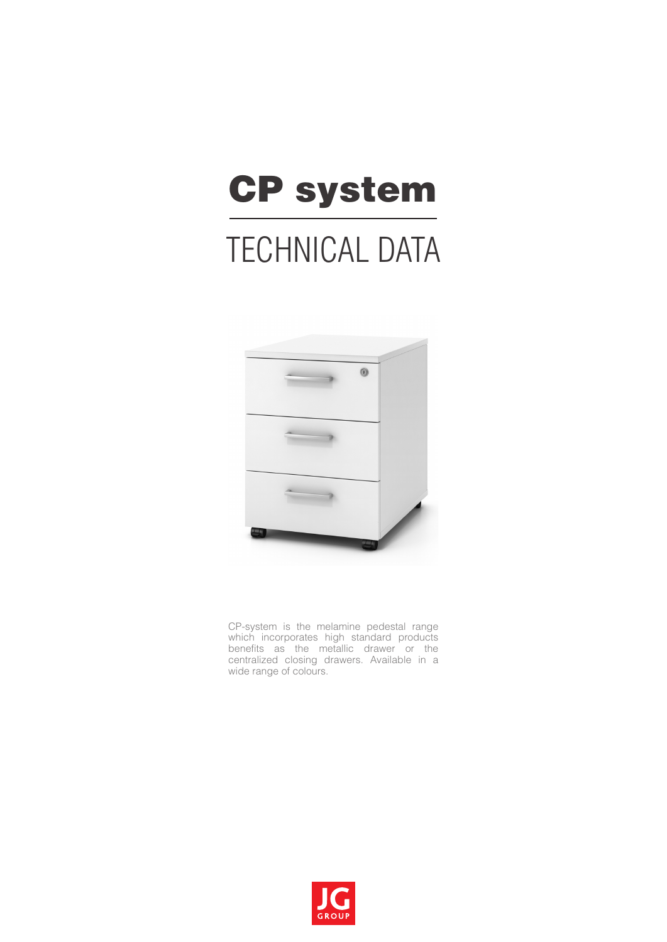# CP system TECHNICAL DATA



CP-system is the melamine pedestal range which incorporates high standard products benefits as the metallic drawer or the centralized closing drawers. Available in a wide range of colours.

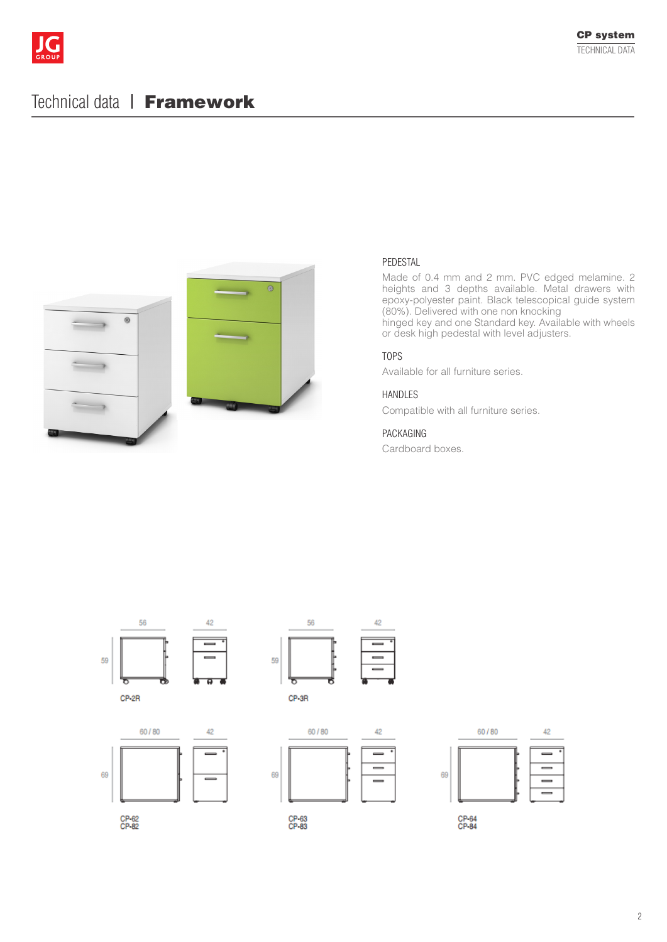

## Technical data | Framework





#### PEDESTAL

Made of 0.4 mm and 2 mm. PVC edged melamine. 2 heights and 3 depths available. Metal drawers with epoxy-polyester paint. Black telescopical guide system (80%). Delivered with one non knocking hinged key and one Standard key. Available with wheels

#### TOPS

Available for all furniture series.

#### HANDLES

Compatible with all furniture series.

or desk high pedestal with level adjusters.

#### PACKAGING

Cardboard boxes.





 $42$ 58 59 CP-3R